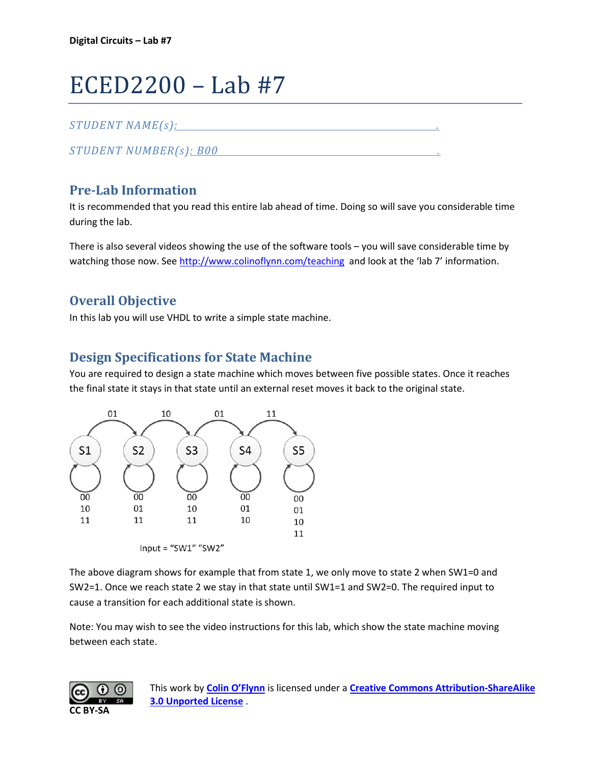# ECED2200 – Lab #7

#### *STUDENT NAME(s): .*

*STUDENT NUMBER(s): B00 .* 

## **Pre-Lab Information**

It is recommended that you read this entire lab ahead of time. Doing so will save you considerable time during the lab.

There is also several videos showing the use of the software tools – you will save considerable time by watching those now. See<http://www.colinoflynn.com/teaching>and look at the 'lab 7' information.

## **Overall Objective**

In this lab you will use VHDL to write a simple state machine.

#### **Design Specifications for State Machine**

You are required to design a state machine which moves between five possible states. Once it reaches the final state it stays in that state until an external reset moves it back to the original state.



The above diagram shows for example that from state 1, we only move to state 2 when SW1=0 and SW2=1. Once we reach state 2 we stay in that state until SW1=1 and SW2=0. The required input to cause a transition for each additional state is shown.

Note: You may wish to see the video instructions for this lab, which show the state machine moving between each state.



This work by **[Colin O'Flynn](http://www.newae.com/)** is licensed under a **[Creative Commons Attribution-ShareAlike](http://creativecommons.org/licenses/by-sa/3.0/)  [3.0 Unported License](http://creativecommons.org/licenses/by-sa/3.0/)** .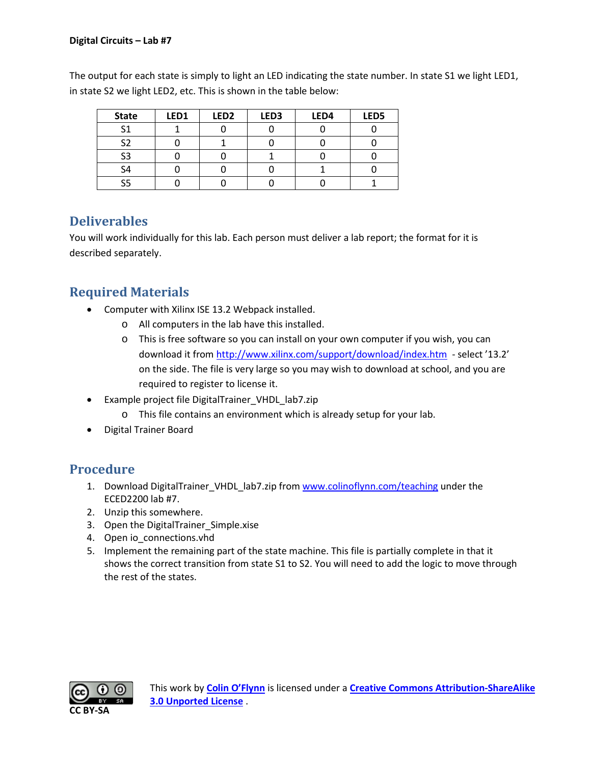The output for each state is simply to light an LED indicating the state number. In state S1 we light LED1, in state S2 we light LED2, etc. This is shown in the table below:

| <b>State</b>   | LED1 | LED <sub>2</sub> | LED <sub>3</sub> | LED4 | LED5 |
|----------------|------|------------------|------------------|------|------|
| C <sub>1</sub> |      |                  |                  |      |      |
| ິຕ             |      |                  |                  |      |      |
| S <sub>3</sub> |      |                  |                  |      |      |
| ر م            |      |                  |                  |      |      |
|                |      |                  |                  |      |      |

## **Deliverables**

You will work individually for this lab. Each person must deliver a lab report; the format for it is described separately.

#### **Required Materials**

- Computer with Xilinx ISE 13.2 Webpack installed.
	- o All computers in the lab have this installed.
	- o This is free software so you can install on your own computer if you wish, you can download it from<http://www.xilinx.com/support/download/index.htm>- select '13.2' on the side. The file is very large so you may wish to download at school, and you are required to register to license it.
- Example project file DigitalTrainer\_VHDL\_lab7.zip
	- o This file contains an environment which is already setup for your lab.
- Digital Trainer Board

#### **Procedure**

- 1. Download DigitalTrainer\_VHDL\_lab7.zip from [www.colinoflynn.com/teaching](http://www.colinoflynn.com/teaching) under the ECED2200 lab #7.
- 2. Unzip this somewhere.
- 3. Open the DigitalTrainer\_Simple.xise
- 4. Open io connections.vhd
- 5. Implement the remaining part of the state machine. This file is partially complete in that it shows the correct transition from state S1 to S2. You will need to add the logic to move through the rest of the states.